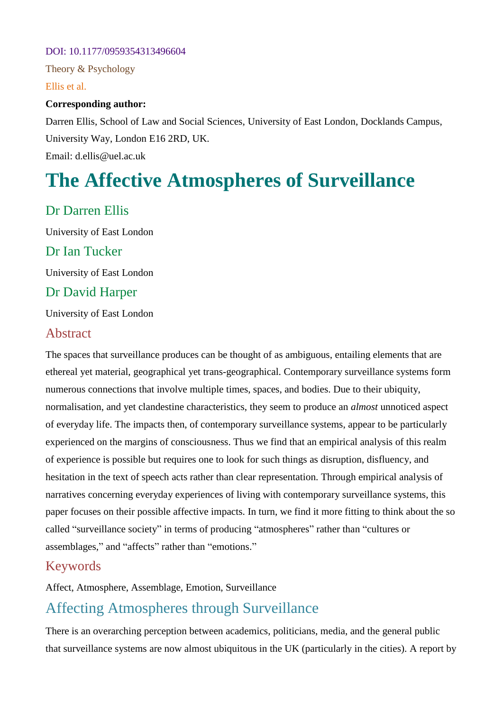#### DOI: 10.1177/0959354313496604

Theory & Psychology

Ellis et al.

#### **Corresponding author:**

Darren Ellis, School of Law and Social Sciences, University of East London, Docklands Campus, University Way, London E16 2RD, UK. Email: d.ellis@uel.ac.uk

# **The Affective Atmospheres of Surveillance**

## Dr Darren Ellis

University of East London Dr Ian Tucker University of East London Dr David Harper University of East London

#### Abstract

The spaces that surveillance produces can be thought of as ambiguous, entailing elements that are ethereal yet material, geographical yet trans-geographical. Contemporary surveillance systems form numerous connections that involve multiple times, spaces, and bodies. Due to their ubiquity, normalisation, and yet clandestine characteristics, they seem to produce an *almost* unnoticed aspect of everyday life. The impacts then, of contemporary surveillance systems, appear to be particularly experienced on the margins of consciousness. Thus we find that an empirical analysis of this realm of experience is possible but requires one to look for such things as disruption, disfluency, and hesitation in the text of speech acts rather than clear representation. Through empirical analysis of narratives concerning everyday experiences of living with contemporary surveillance systems, this paper focuses on their possible affective impacts. In turn, we find it more fitting to think about the so called "surveillance society" in terms of producing "atmospheres" rather than "cultures or assemblages," and "affects" rather than "emotions."

#### Keywords

Affect, Atmosphere, Assemblage, Emotion, Surveillance

# Affecting Atmospheres through Surveillance

There is an overarching perception between academics, politicians, media, and the general public that surveillance systems are now almost ubiquitous in the UK (particularly in the cities). A report by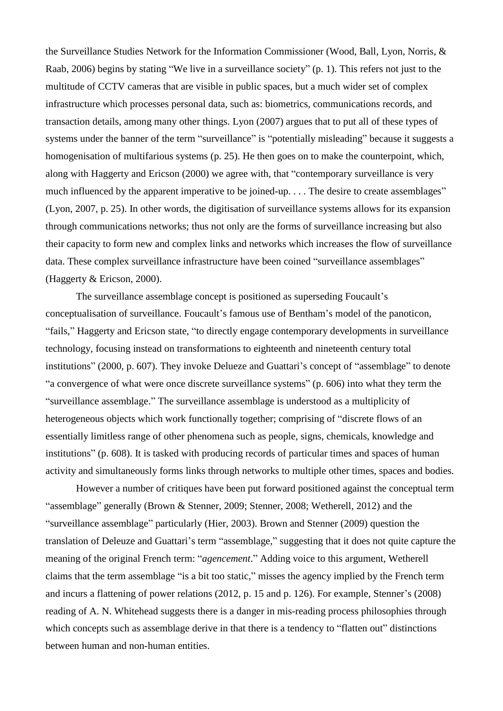the Surveillance Studies Network for the Information Commissioner (Wood, Ball, Lyon, Norris, & Raab, 2006) begins by stating "We live in a surveillance society" (p. 1). This refers not just to the multitude of CCTV cameras that are visible in public spaces, but a much wider set of complex infrastructure which processes personal data, such as: biometrics, communications records, and transaction details, among many other things. Lyon (2007) argues that to put all of these types of systems under the banner of the term "surveillance" is "potentially misleading" because it suggests a homogenisation of multifarious systems (p. 25). He then goes on to make the counterpoint, which, along with Haggerty and Ericson (2000) we agree with, that "contemporary surveillance is very much influenced by the apparent imperative to be joined-up. . . . The desire to create assemblages" (Lyon, 2007, p. 25). In other words, the digitisation of surveillance systems allows for its expansion through communications networks; thus not only are the forms of surveillance increasing but also their capacity to form new and complex links and networks which increases the flow of surveillance data. These complex surveillance infrastructure have been coined "surveillance assemblages" (Haggerty & Ericson, 2000).

The surveillance assemblage concept is positioned as superseding Foucault's conceptualisation of surveillance. Foucault's famous use of Bentham's model of the panoticon, "fails," Haggerty and Ericson state, "to directly engage contemporary developments in surveillance technology, focusing instead on transformations to eighteenth and nineteenth century total institutions" (2000, p. 607). They invoke Delueze and Guattari's concept of "assemblage" to denote "a convergence of what were once discrete surveillance systems" (p. 606) into what they term the "surveillance assemblage." The surveillance assemblage is understood as a multiplicity of heterogeneous objects which work functionally together; comprising of "discrete flows of an essentially limitless range of other phenomena such as people, signs, chemicals, knowledge and institutions" (p. 608). It is tasked with producing records of particular times and spaces of human activity and simultaneously forms links through networks to multiple other times, spaces and bodies.

However a number of critiques have been put forward positioned against the conceptual term "assemblage" generally (Brown & Stenner, 2009; Stenner, 2008; Wetherell, 2012) and the "surveillance assemblage" particularly (Hier, 2003). Brown and Stenner (2009) question the translation of Deleuze and Guattari's term "assemblage," suggesting that it does not quite capture the meaning of the original French term: "*agencement*." Adding voice to this argument, Wetherell claims that the term assemblage "is a bit too static," misses the agency implied by the French term and incurs a flattening of power relations (2012, p. 15 and p. 126). For example, Stenner's (2008) reading of A. N. Whitehead suggests there is a danger in mis-reading process philosophies through which concepts such as assemblage derive in that there is a tendency to "flatten out" distinctions between human and non-human entities.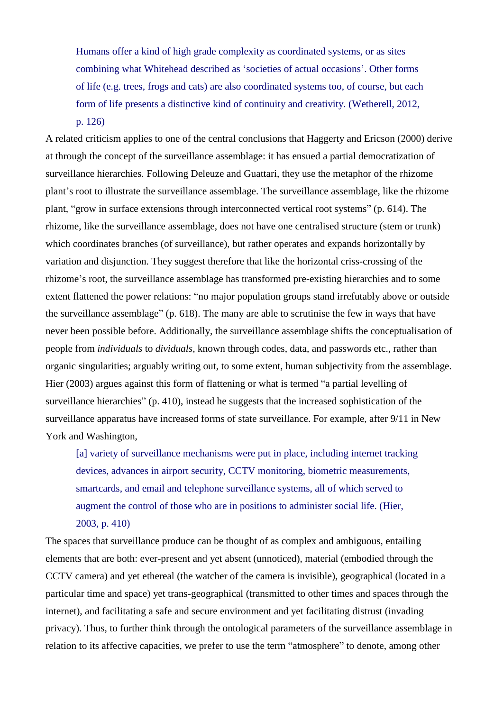Humans offer a kind of high grade complexity as coordinated systems, or as sites combining what Whitehead described as 'societies of actual occasions'. Other forms of life (e.g. trees, frogs and cats) are also coordinated systems too, of course, but each form of life presents a distinctive kind of continuity and creativity. (Wetherell, 2012, p. 126)

A related criticism applies to one of the central conclusions that Haggerty and Ericson (2000) derive at through the concept of the surveillance assemblage: it has ensued a partial democratization of surveillance hierarchies. Following Deleuze and Guattari, they use the metaphor of the rhizome plant's root to illustrate the surveillance assemblage. The surveillance assemblage, like the rhizome plant, "grow in surface extensions through interconnected vertical root systems" (p. 614). The rhizome, like the surveillance assemblage, does not have one centralised structure (stem or trunk) which coordinates branches (of surveillance), but rather operates and expands horizontally by variation and disjunction. They suggest therefore that like the horizontal criss-crossing of the rhizome's root, the surveillance assemblage has transformed pre-existing hierarchies and to some extent flattened the power relations: "no major population groups stand irrefutably above or outside the surveillance assemblage" (p. 618). The many are able to scrutinise the few in ways that have never been possible before. Additionally, the surveillance assemblage shifts the conceptualisation of people from *individuals* to *dividuals*, known through codes, data, and passwords etc., rather than organic singularities; arguably writing out, to some extent, human subjectivity from the assemblage. Hier (2003) argues against this form of flattening or what is termed "a partial levelling of surveillance hierarchies" (p. 410), instead he suggests that the increased sophistication of the surveillance apparatus have increased forms of state surveillance. For example, after 9/11 in New York and Washington,

[a] variety of surveillance mechanisms were put in place, including internet tracking devices, advances in airport security, CCTV monitoring, biometric measurements, smartcards, and email and telephone surveillance systems, all of which served to augment the control of those who are in positions to administer social life. (Hier, 2003, p. 410)

The spaces that surveillance produce can be thought of as complex and ambiguous, entailing elements that are both: ever-present and yet absent (unnoticed), material (embodied through the CCTV camera) and yet ethereal (the watcher of the camera is invisible), geographical (located in a particular time and space) yet trans-geographical (transmitted to other times and spaces through the internet), and facilitating a safe and secure environment and yet facilitating distrust (invading privacy). Thus, to further think through the ontological parameters of the surveillance assemblage in relation to its affective capacities, we prefer to use the term "atmosphere" to denote, among other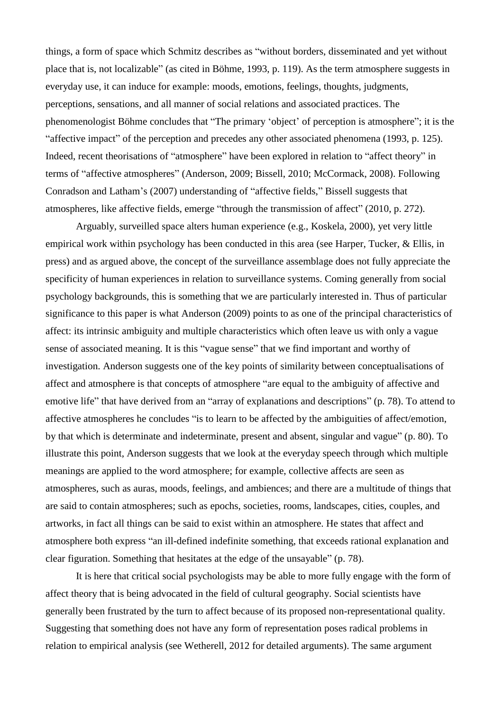things, a form of space which Schmitz describes as "without borders, disseminated and yet without place that is, not localizable" (as cited in Böhme, 1993, p. 119). As the term atmosphere suggests in everyday use, it can induce for example: moods, emotions, feelings, thoughts, judgments, perceptions, sensations, and all manner of social relations and associated practices. The phenomenologist Böhme concludes that "The primary 'object' of perception is atmosphere"; it is the "affective impact" of the perception and precedes any other associated phenomena (1993, p. 125). Indeed, recent theorisations of "atmosphere" have been explored in relation to "affect theory" in terms of "affective atmospheres" (Anderson, 2009; Bissell, 2010; McCormack, 2008). Following Conradson and Latham's (2007) understanding of "affective fields," Bissell suggests that atmospheres, like affective fields, emerge "through the transmission of affect" (2010, p. 272).

Arguably, surveilled space alters human experience (e.g., Koskela, 2000), yet very little empirical work within psychology has been conducted in this area (see Harper, Tucker, & Ellis, in press) and as argued above, the concept of the surveillance assemblage does not fully appreciate the specificity of human experiences in relation to surveillance systems. Coming generally from social psychology backgrounds, this is something that we are particularly interested in. Thus of particular significance to this paper is what Anderson (2009) points to as one of the principal characteristics of affect: its intrinsic ambiguity and multiple characteristics which often leave us with only a vague sense of associated meaning. It is this "vague sense" that we find important and worthy of investigation. Anderson suggests one of the key points of similarity between conceptualisations of affect and atmosphere is that concepts of atmosphere "are equal to the ambiguity of affective and emotive life" that have derived from an "array of explanations and descriptions" (p. 78). To attend to affective atmospheres he concludes "is to learn to be affected by the ambiguities of affect/emotion, by that which is determinate and indeterminate, present and absent, singular and vague" (p. 80). To illustrate this point, Anderson suggests that we look at the everyday speech through which multiple meanings are applied to the word atmosphere; for example, collective affects are seen as atmospheres, such as auras, moods, feelings, and ambiences; and there are a multitude of things that are said to contain atmospheres; such as epochs, societies, rooms, landscapes, cities, couples, and artworks, in fact all things can be said to exist within an atmosphere. He states that affect and atmosphere both express "an ill-defined indefinite something, that exceeds rational explanation and clear figuration. Something that hesitates at the edge of the unsayable" (p. 78).

It is here that critical social psychologists may be able to more fully engage with the form of affect theory that is being advocated in the field of cultural geography. Social scientists have generally been frustrated by the turn to affect because of its proposed non-representational quality. Suggesting that something does not have any form of representation poses radical problems in relation to empirical analysis (see Wetherell, 2012 for detailed arguments). The same argument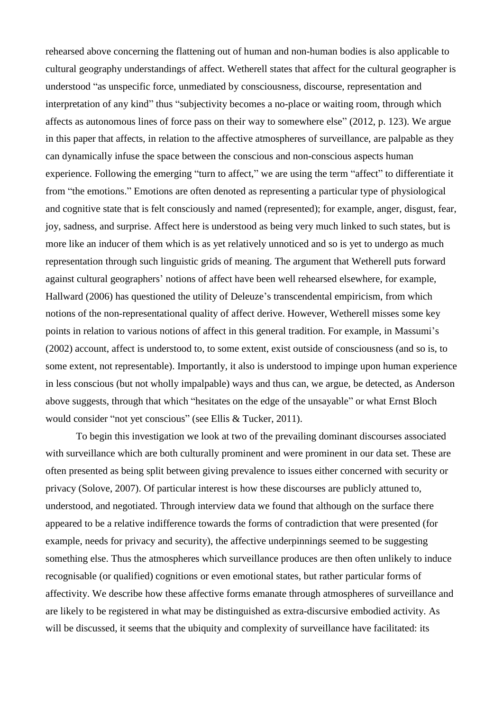rehearsed above concerning the flattening out of human and non-human bodies is also applicable to cultural geography understandings of affect. Wetherell states that affect for the cultural geographer is understood "as unspecific force, unmediated by consciousness, discourse, representation and interpretation of any kind" thus "subjectivity becomes a no-place or waiting room, through which affects as autonomous lines of force pass on their way to somewhere else" (2012, p. 123). We argue in this paper that affects, in relation to the affective atmospheres of surveillance, are palpable as they can dynamically infuse the space between the conscious and non-conscious aspects human experience. Following the emerging "turn to affect," we are using the term "affect" to differentiate it from "the emotions." Emotions are often denoted as representing a particular type of physiological and cognitive state that is felt consciously and named (represented); for example, anger, disgust, fear, joy, sadness, and surprise. Affect here is understood as being very much linked to such states, but is more like an inducer of them which is as yet relatively unnoticed and so is yet to undergo as much representation through such linguistic grids of meaning. The argument that Wetherell puts forward against cultural geographers' notions of affect have been well rehearsed elsewhere, for example, Hallward (2006) has questioned the utility of Deleuze's transcendental empiricism, from which notions of the non-representational quality of affect derive. However, Wetherell misses some key points in relation to various notions of affect in this general tradition. For example, in Massumi's (2002) account, affect is understood to, to some extent, exist outside of consciousness (and so is, to some extent, not representable). Importantly, it also is understood to impinge upon human experience in less conscious (but not wholly impalpable) ways and thus can, we argue, be detected, as Anderson above suggests, through that which "hesitates on the edge of the unsayable" or what Ernst Bloch would consider "not yet conscious" (see Ellis & Tucker, 2011).

To begin this investigation we look at two of the prevailing dominant discourses associated with surveillance which are both culturally prominent and were prominent in our data set. These are often presented as being split between giving prevalence to issues either concerned with security or privacy (Solove, 2007). Of particular interest is how these discourses are publicly attuned to, understood, and negotiated. Through interview data we found that although on the surface there appeared to be a relative indifference towards the forms of contradiction that were presented (for example, needs for privacy and security), the affective underpinnings seemed to be suggesting something else. Thus the atmospheres which surveillance produces are then often unlikely to induce recognisable (or qualified) cognitions or even emotional states, but rather particular forms of affectivity. We describe how these affective forms emanate through atmospheres of surveillance and are likely to be registered in what may be distinguished as extra-discursive embodied activity. As will be discussed, it seems that the ubiquity and complexity of surveillance have facilitated: its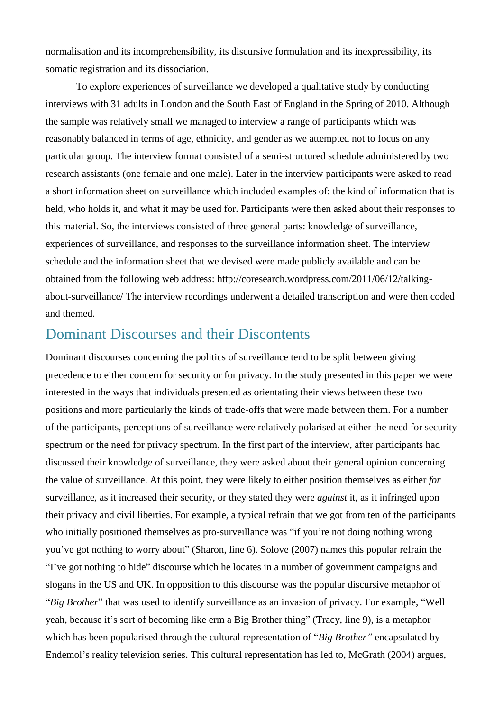normalisation and its incomprehensibility, its discursive formulation and its inexpressibility, its somatic registration and its dissociation.

To explore experiences of surveillance we developed a qualitative study by conducting interviews with 31 adults in London and the South East of England in the Spring of 2010. Although the sample was relatively small we managed to interview a range of participants which was reasonably balanced in terms of age, ethnicity, and gender as we attempted not to focus on any particular group. The interview format consisted of a semi-structured schedule administered by two research assistants (one female and one male). Later in the interview participants were asked to read a short information sheet on surveillance which included examples of: the kind of information that is held, who holds it, and what it may be used for. Participants were then asked about their responses to this material. So, the interviews consisted of three general parts: knowledge of surveillance, experiences of surveillance, and responses to the surveillance information sheet. The interview schedule and the information sheet that we devised were made publicly available and can be obtained from the following web address: http://coresearch.wordpress.com/2011/06/12/talkingabout-surveillance/ The interview recordings underwent a detailed transcription and were then coded and themed.

## Dominant Discourses and their Discontents

Dominant discourses concerning the politics of surveillance tend to be split between giving precedence to either concern for security or for privacy. In the study presented in this paper we were interested in the ways that individuals presented as orientating their views between these two positions and more particularly the kinds of trade-offs that were made between them. For a number of the participants, perceptions of surveillance were relatively polarised at either the need for security spectrum or the need for privacy spectrum. In the first part of the interview, after participants had discussed their knowledge of surveillance, they were asked about their general opinion concerning the value of surveillance. At this point, they were likely to either position themselves as either *for* surveillance, as it increased their security, or they stated they were *against* it, as it infringed upon their privacy and civil liberties. For example, a typical refrain that we got from ten of the participants who initially positioned themselves as pro-surveillance was "if you're not doing nothing wrong you've got nothing to worry about" (Sharon, line 6). Solove (2007) names this popular refrain the "I've got nothing to hide" discourse which he locates in a number of government campaigns and slogans in the US and UK. In opposition to this discourse was the popular discursive metaphor of "*Big Brother*" that was used to identify surveillance as an invasion of privacy. For example, "Well yeah, because it's sort of becoming like erm a Big Brother thing" (Tracy, line 9), is a metaphor which has been popularised through the cultural representation of "*Big Brother"* encapsulated by Endemol's reality television series. This cultural representation has led to, McGrath (2004) argues,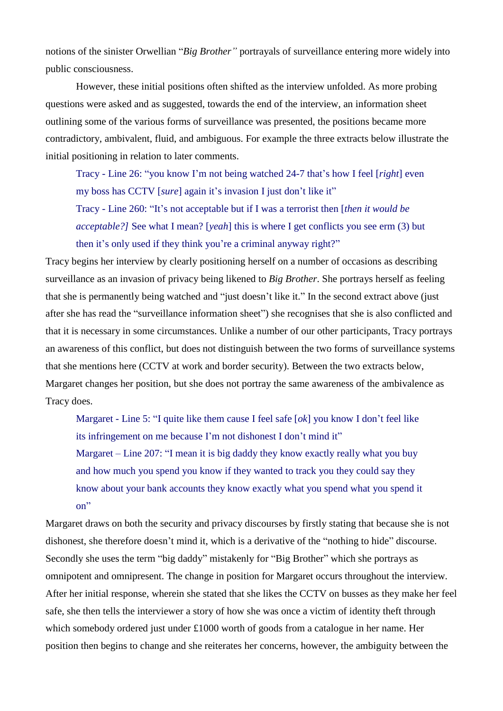notions of the sinister Orwellian "*Big Brother"* portrayals of surveillance entering more widely into public consciousness.

However, these initial positions often shifted as the interview unfolded. As more probing questions were asked and as suggested, towards the end of the interview, an information sheet outlining some of the various forms of surveillance was presented, the positions became more contradictory, ambivalent, fluid, and ambiguous. For example the three extracts below illustrate the initial positioning in relation to later comments.

Tracy - Line 26: "you know I'm not being watched 24-7 that's how I feel [*right*] even my boss has CCTV [*sure*] again it's invasion I just don't like it" Tracy - Line 260: "It's not acceptable but if I was a terrorist then [*then it would be acceptable?]* See what I mean? [*yeah*] this is where I get conflicts you see erm (3) but then it's only used if they think you're a criminal anyway right?"

Tracy begins her interview by clearly positioning herself on a number of occasions as describing surveillance as an invasion of privacy being likened to *Big Brother*. She portrays herself as feeling that she is permanently being watched and "just doesn't like it." In the second extract above (just after she has read the "surveillance information sheet") she recognises that she is also conflicted and that it is necessary in some circumstances. Unlike a number of our other participants, Tracy portrays an awareness of this conflict, but does not distinguish between the two forms of surveillance systems that she mentions here (CCTV at work and border security). Between the two extracts below, Margaret changes her position, but she does not portray the same awareness of the ambivalence as Tracy does.

Margaret - Line 5: "I quite like them cause I feel safe [*ok*] you know I don't feel like its infringement on me because I'm not dishonest I don't mind it" Margaret – Line 207: "I mean it is big daddy they know exactly really what you buy and how much you spend you know if they wanted to track you they could say they know about your bank accounts they know exactly what you spend what you spend it on"

Margaret draws on both the security and privacy discourses by firstly stating that because she is not dishonest, she therefore doesn't mind it, which is a derivative of the "nothing to hide" discourse. Secondly she uses the term "big daddy" mistakenly for "Big Brother" which she portrays as omnipotent and omnipresent. The change in position for Margaret occurs throughout the interview. After her initial response, wherein she stated that she likes the CCTV on busses as they make her feel safe, she then tells the interviewer a story of how she was once a victim of identity theft through which somebody ordered just under £1000 worth of goods from a catalogue in her name. Her position then begins to change and she reiterates her concerns, however, the ambiguity between the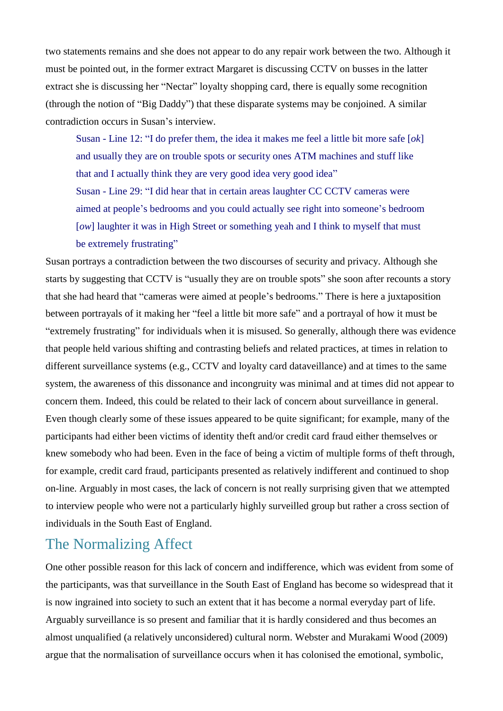two statements remains and she does not appear to do any repair work between the two. Although it must be pointed out, in the former extract Margaret is discussing CCTV on busses in the latter extract she is discussing her "Nectar" loyalty shopping card, there is equally some recognition (through the notion of "Big Daddy") that these disparate systems may be conjoined. A similar contradiction occurs in Susan's interview.

Susan - Line 12: "I do prefer them, the idea it makes me feel a little bit more safe [*ok*] and usually they are on trouble spots or security ones ATM machines and stuff like that and I actually think they are very good idea very good idea" Susan - Line 29: "I did hear that in certain areas laughter CC CCTV cameras were aimed at people's bedrooms and you could actually see right into someone's bedroom

[*ow*] laughter it was in High Street or something yeah and I think to myself that must be extremely frustrating"

Susan portrays a contradiction between the two discourses of security and privacy. Although she starts by suggesting that CCTV is "usually they are on trouble spots" she soon after recounts a story that she had heard that "cameras were aimed at people's bedrooms." There is here a juxtaposition between portrayals of it making her "feel a little bit more safe" and a portrayal of how it must be "extremely frustrating" for individuals when it is misused. So generally, although there was evidence that people held various shifting and contrasting beliefs and related practices, at times in relation to different surveillance systems (e.g., CCTV and loyalty card dataveillance) and at times to the same system, the awareness of this dissonance and incongruity was minimal and at times did not appear to concern them. Indeed, this could be related to their lack of concern about surveillance in general. Even though clearly some of these issues appeared to be quite significant; for example, many of the participants had either been victims of identity theft and/or credit card fraud either themselves or knew somebody who had been. Even in the face of being a victim of multiple forms of theft through, for example, credit card fraud, participants presented as relatively indifferent and continued to shop on-line. Arguably in most cases, the lack of concern is not really surprising given that we attempted to interview people who were not a particularly highly surveilled group but rather a cross section of individuals in the South East of England.

## The Normalizing Affect

One other possible reason for this lack of concern and indifference, which was evident from some of the participants, was that surveillance in the South East of England has become so widespread that it is now ingrained into society to such an extent that it has become a normal everyday part of life. Arguably surveillance is so present and familiar that it is hardly considered and thus becomes an almost unqualified (a relatively unconsidered) cultural norm. Webster and Murakami Wood (2009) argue that the normalisation of surveillance occurs when it has colonised the emotional, symbolic,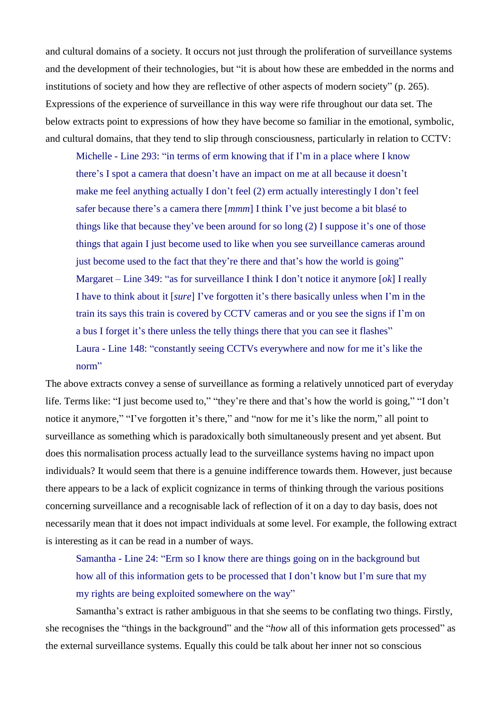and cultural domains of a society. It occurs not just through the proliferation of surveillance systems and the development of their technologies, but "it is about how these are embedded in the norms and institutions of society and how they are reflective of other aspects of modern society" (p. 265). Expressions of the experience of surveillance in this way were rife throughout our data set. The below extracts point to expressions of how they have become so familiar in the emotional, symbolic, and cultural domains, that they tend to slip through consciousness, particularly in relation to CCTV:

Michelle - Line 293: "in terms of erm knowing that if I'm in a place where I know there's I spot a camera that doesn't have an impact on me at all because it doesn't make me feel anything actually I don't feel (2) erm actually interestingly I don't feel safer because there's a camera there [*mmm*] I think I've just become a bit blasé to things like that because they've been around for so long (2) I suppose it's one of those things that again I just become used to like when you see surveillance cameras around just become used to the fact that they're there and that's how the world is going" Margaret – Line 349: "as for surveillance I think I don't notice it anymore [*ok*] I really I have to think about it [*sure*] I've forgotten it's there basically unless when I'm in the train its says this train is covered by CCTV cameras and or you see the signs if I'm on a bus I forget it's there unless the telly things there that you can see it flashes" Laura - Line 148: "constantly seeing CCTVs everywhere and now for me it's like the norm"

The above extracts convey a sense of surveillance as forming a relatively unnoticed part of everyday life. Terms like: "I just become used to," "they're there and that's how the world is going," "I don't notice it anymore," "I've forgotten it's there," and "now for me it's like the norm," all point to surveillance as something which is paradoxically both simultaneously present and yet absent. But does this normalisation process actually lead to the surveillance systems having no impact upon individuals? It would seem that there is a genuine indifference towards them. However, just because there appears to be a lack of explicit cognizance in terms of thinking through the various positions concerning surveillance and a recognisable lack of reflection of it on a day to day basis, does not necessarily mean that it does not impact individuals at some level. For example, the following extract is interesting as it can be read in a number of ways.

Samantha - Line 24: "Erm so I know there are things going on in the background but how all of this information gets to be processed that I don't know but I'm sure that my my rights are being exploited somewhere on the way"

Samantha's extract is rather ambiguous in that she seems to be conflating two things. Firstly, she recognises the "things in the background" and the "*how* all of this information gets processed" as the external surveillance systems. Equally this could be talk about her inner not so conscious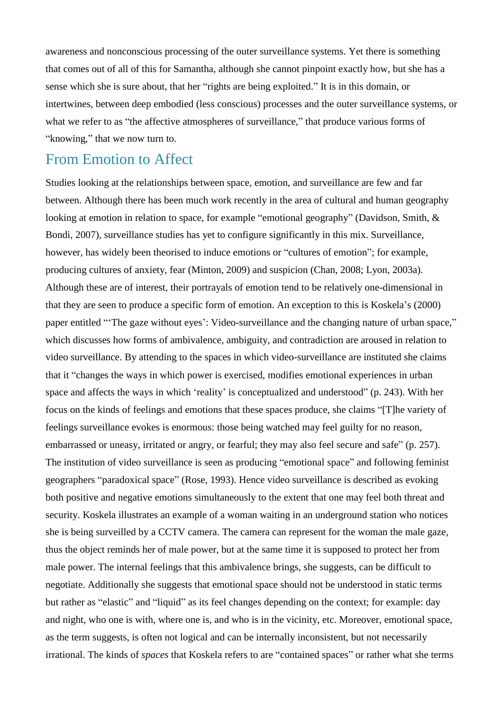awareness and nonconscious processing of the outer surveillance systems. Yet there is something that comes out of all of this for Samantha, although she cannot pinpoint exactly how, but she has a sense which she is sure about, that her "rights are being exploited." It is in this domain, or intertwines, between deep embodied (less conscious) processes and the outer surveillance systems, or what we refer to as "the affective atmospheres of surveillance," that produce various forms of "knowing," that we now turn to.

#### From Emotion to Affect

Studies looking at the relationships between space, emotion, and surveillance are few and far between. Although there has been much work recently in the area of cultural and human geography looking at emotion in relation to space, for example "emotional geography" (Davidson, Smith, & Bondi, 2007), surveillance studies has yet to configure significantly in this mix. Surveillance, however, has widely been theorised to induce emotions or "cultures of emotion"; for example, producing cultures of anxiety, fear (Minton, 2009) and suspicion (Chan, 2008; Lyon, 2003a). Although these are of interest, their portrayals of emotion tend to be relatively one-dimensional in that they are seen to produce a specific form of emotion. An exception to this is Koskela's (2000) paper entitled "'The gaze without eyes': Video-surveillance and the changing nature of urban space," which discusses how forms of ambivalence, ambiguity, and contradiction are aroused in relation to video surveillance. By attending to the spaces in which video-surveillance are instituted she claims that it "changes the ways in which power is exercised, modifies emotional experiences in urban space and affects the ways in which 'reality' is conceptualized and understood" (p. 243). With her focus on the kinds of feelings and emotions that these spaces produce, she claims "[T]he variety of feelings surveillance evokes is enormous: those being watched may feel guilty for no reason, embarrassed or uneasy, irritated or angry, or fearful; they may also feel secure and safe" (p. 257). The institution of video surveillance is seen as producing "emotional space" and following feminist geographers "paradoxical space" (Rose, 1993). Hence video surveillance is described as evoking both positive and negative emotions simultaneously to the extent that one may feel both threat and security. Koskela illustrates an example of a woman waiting in an underground station who notices she is being surveilled by a CCTV camera. The camera can represent for the woman the male gaze, thus the object reminds her of male power, but at the same time it is supposed to protect her from male power. The internal feelings that this ambivalence brings, she suggests, can be difficult to negotiate. Additionally she suggests that emotional space should not be understood in static terms but rather as "elastic" and "liquid" as its feel changes depending on the context; for example: day and night, who one is with, where one is, and who is in the vicinity, etc. Moreover, emotional space, as the term suggests, is often not logical and can be internally inconsistent, but not necessarily irrational. The kinds of *spaces* that Koskela refers to are "contained spaces" or rather what she terms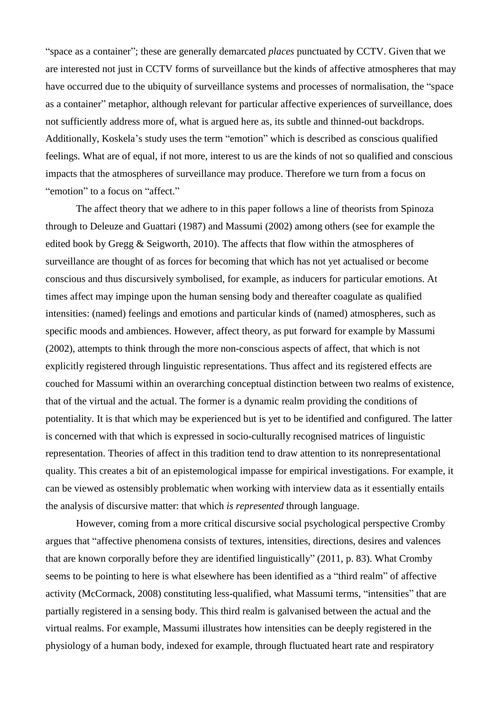"space as a container"; these are generally demarcated *places* punctuated by CCTV. Given that we are interested not just in CCTV forms of surveillance but the kinds of affective atmospheres that may have occurred due to the ubiquity of surveillance systems and processes of normalisation, the "space as a container" metaphor, although relevant for particular affective experiences of surveillance, does not sufficiently address more of, what is argued here as, its subtle and thinned-out backdrops. Additionally, Koskela's study uses the term "emotion" which is described as conscious qualified feelings. What are of equal, if not more, interest to us are the kinds of not so qualified and conscious impacts that the atmospheres of surveillance may produce. Therefore we turn from a focus on "emotion" to a focus on "affect."

The affect theory that we adhere to in this paper follows a line of theorists from Spinoza through to Deleuze and Guattari (1987) and Massumi (2002) among others (see for example the edited book by Gregg & Seigworth, 2010). The affects that flow within the atmospheres of surveillance are thought of as forces for becoming that which has not yet actualised or become conscious and thus discursively symbolised, for example, as inducers for particular emotions. At times affect may impinge upon the human sensing body and thereafter coagulate as qualified intensities: (named) feelings and emotions and particular kinds of (named) atmospheres, such as specific moods and ambiences. However, affect theory, as put forward for example by Massumi (2002), attempts to think through the more non-conscious aspects of affect, that which is not explicitly registered through linguistic representations. Thus affect and its registered effects are couched for Massumi within an overarching conceptual distinction between two realms of existence, that of the virtual and the actual. The former is a dynamic realm providing the conditions of potentiality. It is that which may be experienced but is yet to be identified and configured. The latter is concerned with that which is expressed in socio-culturally recognised matrices of linguistic representation. Theories of affect in this tradition tend to draw attention to its nonrepresentational quality. This creates a bit of an epistemological impasse for empirical investigations. For example, it can be viewed as ostensibly problematic when working with interview data as it essentially entails the analysis of discursive matter: that which *is represented* through language.

However, coming from a more critical discursive social psychological perspective Cromby argues that "affective phenomena consists of textures, intensities, directions, desires and valences that are known corporally before they are identified linguistically" (2011, p. 83). What Cromby seems to be pointing to here is what elsewhere has been identified as a "third realm" of affective activity (McCormack, 2008) constituting less-qualified, what Massumi terms, "intensities" that are partially registered in a sensing body. This third realm is galvanised between the actual and the virtual realms. For example, Massumi illustrates how intensities can be deeply registered in the physiology of a human body, indexed for example, through fluctuated heart rate and respiratory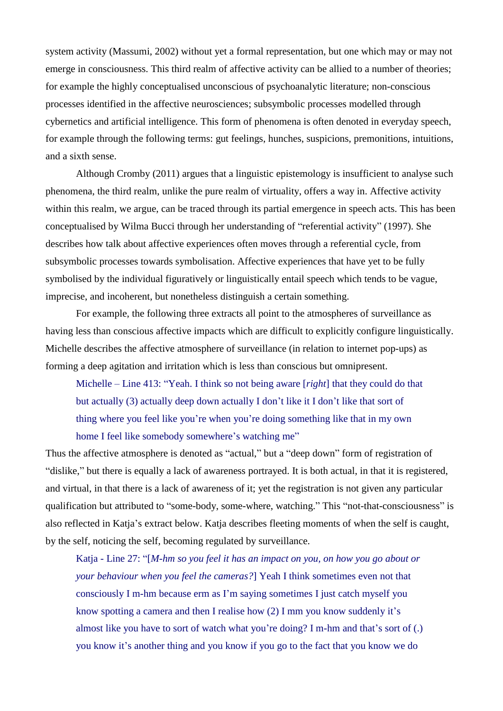system activity (Massumi, 2002) without yet a formal representation, but one which may or may not emerge in consciousness. This third realm of affective activity can be allied to a number of theories; for example the highly conceptualised unconscious of psychoanalytic literature; non-conscious processes identified in the affective neurosciences; subsymbolic processes modelled through cybernetics and artificial intelligence. This form of phenomena is often denoted in everyday speech, for example through the following terms: gut feelings, hunches, suspicions, premonitions, intuitions, and a sixth sense.

Although Cromby (2011) argues that a linguistic epistemology is insufficient to analyse such phenomena, the third realm, unlike the pure realm of virtuality, offers a way in. Affective activity within this realm, we argue, can be traced through its partial emergence in speech acts. This has been conceptualised by Wilma Bucci through her understanding of "referential activity" (1997). She describes how talk about affective experiences often moves through a referential cycle, from subsymbolic processes towards symbolisation. Affective experiences that have yet to be fully symbolised by the individual figuratively or linguistically entail speech which tends to be vague, imprecise, and incoherent, but nonetheless distinguish a certain something.

For example, the following three extracts all point to the atmospheres of surveillance as having less than conscious affective impacts which are difficult to explicitly configure linguistically. Michelle describes the affective atmosphere of surveillance (in relation to internet pop-ups) as forming a deep agitation and irritation which is less than conscious but omnipresent.

Michelle – Line 413: "Yeah. I think so not being aware [*right*] that they could do that but actually (3) actually deep down actually I don't like it I don't like that sort of thing where you feel like you're when you're doing something like that in my own home I feel like somebody somewhere's watching me"

Thus the affective atmosphere is denoted as "actual," but a "deep down" form of registration of "dislike," but there is equally a lack of awareness portrayed. It is both actual, in that it is registered, and virtual, in that there is a lack of awareness of it; yet the registration is not given any particular qualification but attributed to "some-body, some-where, watching." This "not-that-consciousness" is also reflected in Katja's extract below. Katja describes fleeting moments of when the self is caught, by the self, noticing the self, becoming regulated by surveillance.

Katja - Line 27: "[*M-hm so you feel it has an impact on you, on how you go about or your behaviour when you feel the cameras?*] Yeah I think sometimes even not that consciously I m-hm because erm as I'm saying sometimes I just catch myself you know spotting a camera and then I realise how (2) I mm you know suddenly it's almost like you have to sort of watch what you're doing? I m-hm and that's sort of (.) you know it's another thing and you know if you go to the fact that you know we do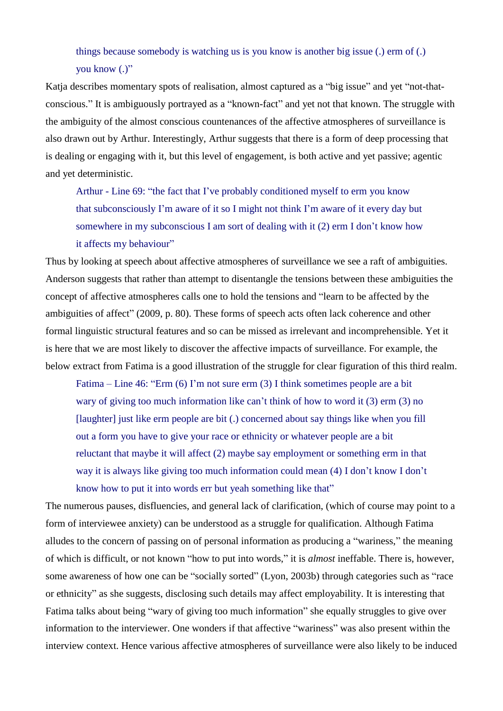#### things because somebody is watching us is you know is another big issue (.) erm of (.) you know (.)"

Katja describes momentary spots of realisation, almost captured as a "big issue" and yet "not-thatconscious." It is ambiguously portrayed as a "known-fact" and yet not that known. The struggle with the ambiguity of the almost conscious countenances of the affective atmospheres of surveillance is also drawn out by Arthur. Interestingly, Arthur suggests that there is a form of deep processing that is dealing or engaging with it, but this level of engagement, is both active and yet passive; agentic and yet deterministic.

Arthur - Line 69: "the fact that I've probably conditioned myself to erm you know that subconsciously I'm aware of it so I might not think I'm aware of it every day but somewhere in my subconscious I am sort of dealing with it (2) erm I don't know how it affects my behaviour"

Thus by looking at speech about affective atmospheres of surveillance we see a raft of ambiguities. Anderson suggests that rather than attempt to disentangle the tensions between these ambiguities the concept of affective atmospheres calls one to hold the tensions and "learn to be affected by the ambiguities of affect" (2009, p. 80). These forms of speech acts often lack coherence and other formal linguistic structural features and so can be missed as irrelevant and incomprehensible. Yet it is here that we are most likely to discover the affective impacts of surveillance. For example, the below extract from Fatima is a good illustration of the struggle for clear figuration of this third realm.

Fatima – Line 46: "Erm (6) I'm not sure erm (3) I think sometimes people are a bit wary of giving too much information like can't think of how to word it (3) erm (3) no [laughter] just like erm people are bit (.) concerned about say things like when you fill out a form you have to give your race or ethnicity or whatever people are a bit reluctant that maybe it will affect (2) maybe say employment or something erm in that way it is always like giving too much information could mean (4) I don't know I don't know how to put it into words err but yeah something like that"

The numerous pauses, disfluencies, and general lack of clarification, (which of course may point to a form of interviewee anxiety) can be understood as a struggle for qualification. Although Fatima alludes to the concern of passing on of personal information as producing a "wariness," the meaning of which is difficult, or not known "how to put into words," it is *almost* ineffable. There is, however, some awareness of how one can be "socially sorted" (Lyon, 2003b) through categories such as "race or ethnicity" as she suggests, disclosing such details may affect employability. It is interesting that Fatima talks about being "wary of giving too much information" she equally struggles to give over information to the interviewer. One wonders if that affective "wariness" was also present within the interview context. Hence various affective atmospheres of surveillance were also likely to be induced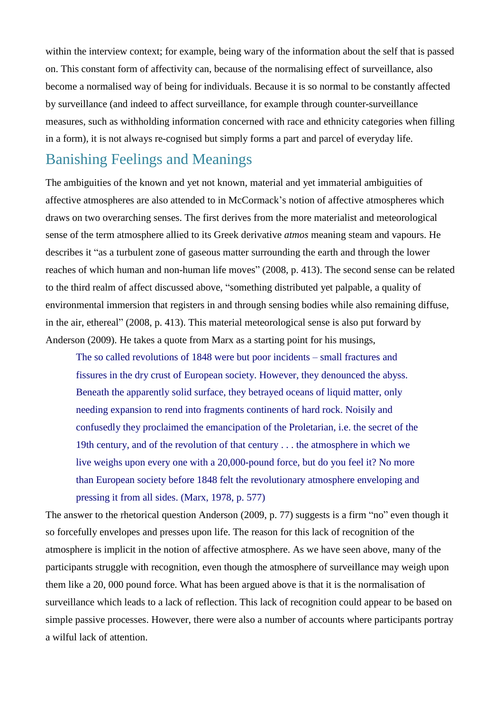within the interview context; for example, being wary of the information about the self that is passed on. This constant form of affectivity can, because of the normalising effect of surveillance, also become a normalised way of being for individuals. Because it is so normal to be constantly affected by surveillance (and indeed to affect surveillance, for example through counter-surveillance measures, such as withholding information concerned with race and ethnicity categories when filling in a form), it is not always re-cognised but simply forms a part and parcel of everyday life.

## Banishing Feelings and Meanings

The ambiguities of the known and yet not known, material and yet immaterial ambiguities of affective atmospheres are also attended to in McCormack's notion of affective atmospheres which draws on two overarching senses. The first derives from the more materialist and meteorological sense of the term atmosphere allied to its Greek derivative *atmos* meaning steam and vapours. He describes it "as a turbulent zone of gaseous matter surrounding the earth and through the lower reaches of which human and non-human life moves" (2008, p. 413). The second sense can be related to the third realm of affect discussed above, "something distributed yet palpable, a quality of environmental immersion that registers in and through sensing bodies while also remaining diffuse, in the air, ethereal" (2008, p. 413). This material meteorological sense is also put forward by Anderson (2009). He takes a quote from Marx as a starting point for his musings,

The so called revolutions of 1848 were but poor incidents – small fractures and fissures in the dry crust of European society. However, they denounced the abyss. Beneath the apparently solid surface, they betrayed oceans of liquid matter, only needing expansion to rend into fragments continents of hard rock. Noisily and confusedly they proclaimed the emancipation of the Proletarian, i.e. the secret of the 19th century, and of the revolution of that century . . . the atmosphere in which we live weighs upon every one with a 20,000-pound force, but do you feel it? No more than European society before 1848 felt the revolutionary atmosphere enveloping and pressing it from all sides. (Marx, 1978, p. 577)

The answer to the rhetorical question Anderson (2009, p. 77) suggests is a firm "no" even though it so forcefully envelopes and presses upon life. The reason for this lack of recognition of the atmosphere is implicit in the notion of affective atmosphere. As we have seen above, many of the participants struggle with recognition, even though the atmosphere of surveillance may weigh upon them like a 20, 000 pound force. What has been argued above is that it is the normalisation of surveillance which leads to a lack of reflection. This lack of recognition could appear to be based on simple passive processes. However, there were also a number of accounts where participants portray a wilful lack of attention.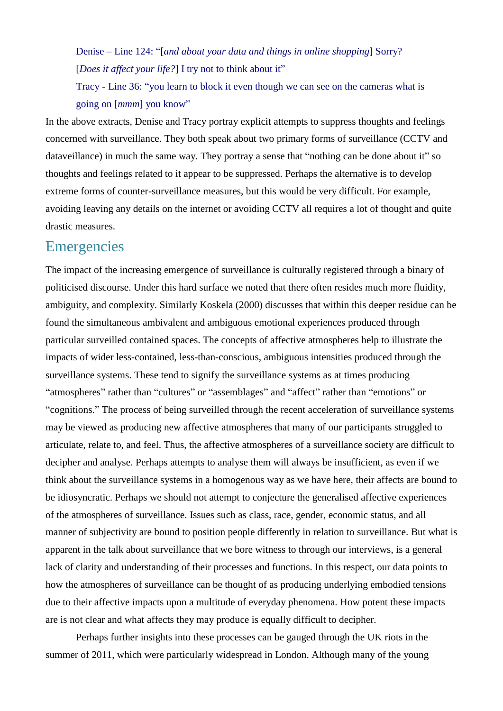Denise – Line 124: "[*and about your data and things in online shopping*] Sorry? [*Does it affect your life?*] I try not to think about it"

Tracy - Line 36: "you learn to block it even though we can see on the cameras what is going on [*mmm*] you know"

In the above extracts, Denise and Tracy portray explicit attempts to suppress thoughts and feelings concerned with surveillance. They both speak about two primary forms of surveillance (CCTV and dataveillance) in much the same way. They portray a sense that "nothing can be done about it" so thoughts and feelings related to it appear to be suppressed. Perhaps the alternative is to develop extreme forms of counter-surveillance measures, but this would be very difficult. For example, avoiding leaving any details on the internet or avoiding CCTV all requires a lot of thought and quite drastic measures.

### **Emergencies**

The impact of the increasing emergence of surveillance is culturally registered through a binary of politicised discourse. Under this hard surface we noted that there often resides much more fluidity, ambiguity, and complexity. Similarly Koskela (2000) discusses that within this deeper residue can be found the simultaneous ambivalent and ambiguous emotional experiences produced through particular surveilled contained spaces. The concepts of affective atmospheres help to illustrate the impacts of wider less-contained, less-than-conscious, ambiguous intensities produced through the surveillance systems. These tend to signify the surveillance systems as at times producing "atmospheres" rather than "cultures" or "assemblages" and "affect" rather than "emotions" or "cognitions." The process of being surveilled through the recent acceleration of surveillance systems may be viewed as producing new affective atmospheres that many of our participants struggled to articulate, relate to, and feel. Thus, the affective atmospheres of a surveillance society are difficult to decipher and analyse. Perhaps attempts to analyse them will always be insufficient, as even if we think about the surveillance systems in a homogenous way as we have here, their affects are bound to be idiosyncratic. Perhaps we should not attempt to conjecture the generalised affective experiences of the atmospheres of surveillance. Issues such as class, race, gender, economic status, and all manner of subjectivity are bound to position people differently in relation to surveillance. But what is apparent in the talk about surveillance that we bore witness to through our interviews, is a general lack of clarity and understanding of their processes and functions. In this respect, our data points to how the atmospheres of surveillance can be thought of as producing underlying embodied tensions due to their affective impacts upon a multitude of everyday phenomena. How potent these impacts are is not clear and what affects they may produce is equally difficult to decipher.

Perhaps further insights into these processes can be gauged through the UK riots in the summer of 2011, which were particularly widespread in London. Although many of the young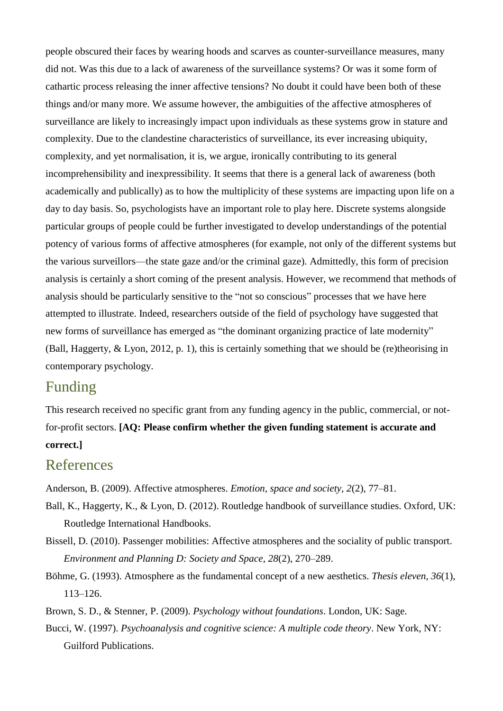people obscured their faces by wearing hoods and scarves as counter-surveillance measures, many did not. Was this due to a lack of awareness of the surveillance systems? Or was it some form of cathartic process releasing the inner affective tensions? No doubt it could have been both of these things and/or many more. We assume however, the ambiguities of the affective atmospheres of surveillance are likely to increasingly impact upon individuals as these systems grow in stature and complexity. Due to the clandestine characteristics of surveillance, its ever increasing ubiquity, complexity, and yet normalisation, it is, we argue, ironically contributing to its general incomprehensibility and inexpressibility. It seems that there is a general lack of awareness (both academically and publically) as to how the multiplicity of these systems are impacting upon life on a day to day basis. So, psychologists have an important role to play here. Discrete systems alongside particular groups of people could be further investigated to develop understandings of the potential potency of various forms of affective atmospheres (for example, not only of the different systems but the various surveillors—the state gaze and/or the criminal gaze). Admittedly, this form of precision analysis is certainly a short coming of the present analysis. However, we recommend that methods of analysis should be particularly sensitive to the "not so conscious" processes that we have here attempted to illustrate. Indeed, researchers outside of the field of psychology have suggested that new forms of surveillance has emerged as "the dominant organizing practice of late modernity" (Ball, Haggerty, & Lyon, 2012, p. 1), this is certainly something that we should be (re)theorising in contemporary psychology.

# Funding

This research received no specific grant from any funding agency in the public, commercial, or notfor-profit sectors. **[AQ: Please confirm whether the given funding statement is accurate and correct.]**

## References

Anderson, B. (2009). Affective atmospheres. *Emotion, space and society, 2*(2), 77–81.

- Ball, K., Haggerty, K., & Lyon, D. (2012). Routledge handbook of surveillance studies. Oxford, UK: Routledge International Handbooks.
- Bissell, D. (2010). Passenger mobilities: Affective atmospheres and the sociality of public transport. *Environment and Planning D: Society and Space, 28*(2), 270–289.
- Böhme, G. (1993). Atmosphere as the fundamental concept of a new aesthetics. *Thesis eleven, 36*(1), 113–126.
- Brown, S. D., & Stenner, P. (2009). *Psychology without foundations*. London, UK: Sage.
- Bucci, W. (1997). *Psychoanalysis and cognitive science: A multiple code theory*. New York, NY: Guilford Publications.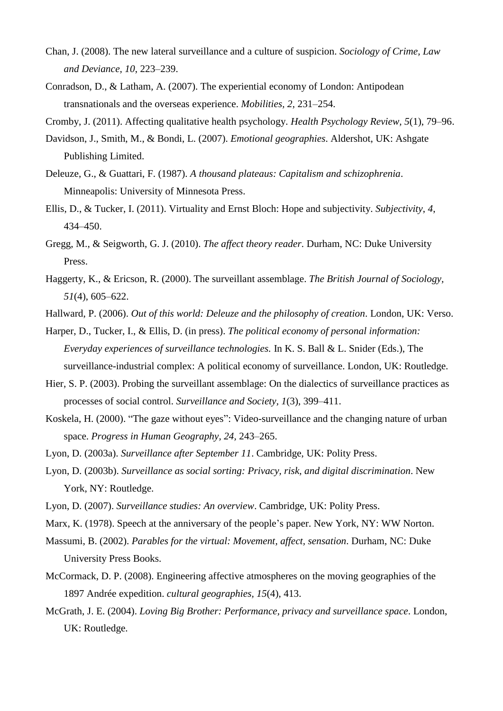- Chan, J. (2008). The new lateral surveillance and a culture of suspicion. *Sociology of Crime, Law and Deviance, 10*, 223–239.
- Conradson, D., & Latham, A. (2007). The experiential economy of London: Antipodean transnationals and the overseas experience. *Mobilities, 2*, 231–254.

Cromby, J. (2011). Affecting qualitative health psychology. *Health Psychology Review, 5*(1), 79–96.

- Davidson, J., Smith, M., & Bondi, L. (2007). *Emotional geographies*. Aldershot, UK: Ashgate Publishing Limited.
- Deleuze, G., & Guattari, F. (1987). *A thousand plateaus: Capitalism and schizophrenia*. Minneapolis: University of Minnesota Press.
- Ellis, D., & Tucker, I. (2011). Virtuality and Ernst Bloch: Hope and subjectivity. *Subjectivity*, *4*, 434–450.
- Gregg, M., & Seigworth, G. J. (2010). *The affect theory reader*. Durham, NC: Duke University Press.
- Haggerty, K., & Ericson, R. (2000). The surveillant assemblage. *The British Journal of Sociology, 51*(4), 605–622.
- Hallward, P. (2006). *Out of this world: Deleuze and the philosophy of creation*. London, UK: Verso.
- Harper, D., Tucker, I., & Ellis, D. (in press). *The political economy of personal information: Everyday experiences of surveillance technologies.* In K. S. Ball & L. Snider (Eds.), The surveillance-industrial complex: A political economy of surveillance. London, UK: Routledge.
- Hier, S. P. (2003). Probing the surveillant assemblage: On the dialectics of surveillance practices as processes of social control. *Surveillance and Society, 1*(3), 399–411.
- Koskela, H. (2000). "The gaze without eyes": Video-surveillance and the changing nature of urban space. *Progress in Human Geography, 24,* 243–265.
- Lyon, D. (2003a). *Surveillance after September 11*. Cambridge, UK: Polity Press.
- Lyon, D. (2003b). *Surveillance as social sorting: Privacy, risk, and digital discrimination*. New York, NY: Routledge.
- Lyon, D. (2007). *Surveillance studies: An overview*. Cambridge, UK: Polity Press.
- Marx, K. (1978). Speech at the anniversary of the people's paper. New York, NY: WW Norton.
- Massumi, B. (2002). *Parables for the virtual: Movement, affect, sensation*. Durham, NC: Duke University Press Books.
- McCormack, D. P. (2008). Engineering affective atmospheres on the moving geographies of the 1897 Andrée expedition. *cultural geographies, 15*(4), 413.
- McGrath, J. E. (2004). *Loving Big Brother: Performance, privacy and surveillance space*. London, UK: Routledge.